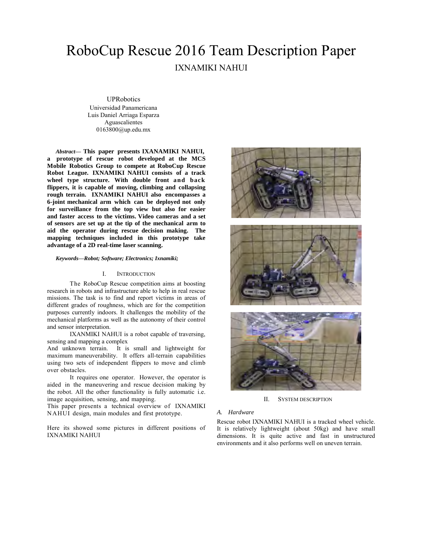# RoboCup Rescue 2016 Team Description Paper IXNAMIKI NAHUI

## **UPRobotics**

Universidad Panamericana Luis Daniel Arriaga Esparza Aguascalientes 0163800@up.edu.mx

*Abstract***— This paper presents IXANAMIKI NAHUI, a prototype of rescue robot developed at the MCS Mobile Robotics Group to compete at RoboCup Rescue Robot League. IXNAMIKI NAHUI consists of a track wheel type structure. With double front and back flippers, it is capable of moving, climbing and collapsing rough terrain. IXNAMIKI NAHUI also encompasses a 6-joint mechanical arm which can be deployed not only for surveillance from the top view but also for easier and faster access to the victims. Video cameras and a set of sensors are set up at the tip of the mechanical arm to aid the operator during rescue decision making. The mapping techniques included in this prototype take advantage of a 2D real-time laser scanning.**

*Keywords—Robot; Software; Electronics; Ixnamiki;*

#### I. INTRODUCTION

The RoboCup Rescue competition aims at boosting research in robots and infrastructure able to help in real rescue missions. The task is to find and report victims in areas of different grades of roughness, which are for the competition purposes currently indoors. It challenges the mobility of the mechanical platforms as well as the autonomy of their control and sensor interpretation.

IXANMIKI NAHUI is a robot capable of traversing, sensing and mapping a complex

And unknown terrain. It is small and lightweight for maximum maneuverability. It offers all-terrain capabilities using two sets of independent flippers to move and climb over obstacles.

It requires one operator. However, the operator is aided in the maneuvering and rescue decision making by the robot. All the other functionality is fully automatic i.e. image acquisition, sensing, and mapping.

This paper presents a technical overview of IXNAMIKI NAHUI design, main modules and first prototype.

Here its showed some pictures in different positions of IXNAMIKI NAHUI







II. SYSTEM DESCRIPTION

#### *A. Hardware*

Rescue robot IXNAMIKI NAHUI is a tracked wheel vehicle. It is relatively lightweight (about 50kg) and have small dimensions. It is quite active and fast in unstructured environments and it also performs well on uneven terrain.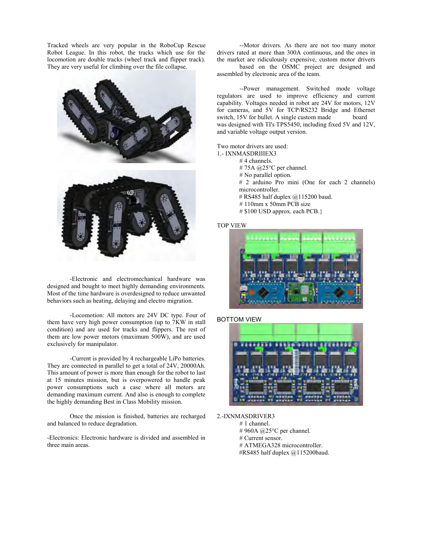Tracked wheels are very popular in the RoboCup Rescue Robot League. In this robot, the tracks which use for the locomotion are double tracks (wheel track and flipper track). They are very useful for climbing over the file collapse.



-Electronic and electromechanical hardware was designed and bought to meet highly demanding environments. Most of the time hardware is overdesigned to reduce unwanted behaviors such as heating, delaying and electro migration.

-Locomotion: All motors are 24V DC type. Four of them have very high power consumption (up to 7KW in stall condition) and are used for tracks and flippers. The rest of them are low power motors (maximum 500W), and are used exclusively for manipulator.

-Current is provided by 4 rechargeable LiPo batteries. They are connected in parallel to get a total of 24V, 20000Ah. This amount of power is more than enough for the robot to last at 15 minutes mission, but is overpowered to handle peak power consumptions such a case where all motors are demanding maximum current. And also is enough to complete the highly demanding Best in Class Mobility mission.

Once the mission is finished, batteries are recharged and balanced to reduce degradation.

-Electronics: Electronic hardware is divided and assembled in three main areas.

--Motor drivers. As there are not too many motor drivers rated at more than 300A continuous, and the ones in the market are ridiculously expensive, custom motor drivers

based on the OSMC project are designed and assembled by electronic area of the team.

--Power management. Switched mode voltage regulators are used to improve efficiency and current capability. Voltages needed in robot are 24V for motors, 12V for cameras, and 5V for TCP/RS232 Bridge and Ethernet switch, 15V for bullet. A single custom made board was designed with TI's TPS5450, including fixed 5V and 12V, and variable voltage output version.

Two motor drivers are used:

- 1.- IXNMASDRIIIEX3
	- # 4 channels.
	- # 75A @25°C per channel. # No parallel option.
	-
	- # 2 arduino Pro mini (One for each 2 channels) microcontroller.
	- # RS485 half duplex  $@115200$  baud.
	- # 110mm x 50mm PCB size
	- # \$100 USD approx. each PCB.}

#### TOP VIEW



BOTTOM VIEW



#### 2.-IXNMASDRIVER3

- # 1 channel.
	- # 960A @25°C per channel.
	- # Current sensor.
	- # ATMEGA328 microcontroller.
	- #RS485 half duplex @115200baud.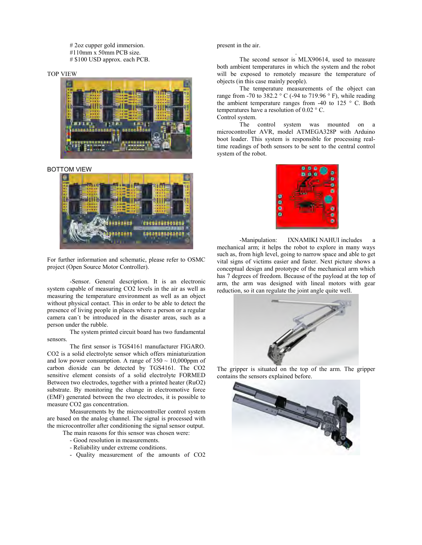# 2oz cupper gold immersion. #110mm x 50mm PCB size. # \$100 USD approx. each PCB.

#### TOP VIEW



#### BOTTOM VIEW



For further information and schematic, please refer to OSMC project (Open Source Motor Controller).

-Sensor. General description. It is an electronic system capable of measuring CO2 levels in the air as well as measuring the temperature environment as well as an object without physical contact. This in order to be able to detect the presence of living people in places where a person or a regular camera can´t be introduced in the disaster areas, such as a person under the rubble.

The system printed circuit board has two fundamental sensors.

The first sensor is TGS4161 manufacturer FIGARO. CO2 is a solid electrolyte sensor which offers miniaturization and low power consumption. A range of  $350 \sim 10,000$ ppm of carbon dioxide can be detected by TGS4161. The CO2 sensitive element consists of a solid electrolyte FORMED Between two electrodes, together with a printed heater (RuO2) substrate. By monitoring the change in electromotive force (EMF) generated between the two electrodes, it is possible to measure CO2 gas concentration.

Measurements by the microcontroller control system are based on the analog channel. The signal is processed with the microcontroller after conditioning the signal sensor output. The main reasons for this sensor was chosen were:

- Good resolution in measurements.

- Reliability under extreme conditions.
- 
- Quality measurement of the amounts of CO2

## present in the air.

The second sensor is MLX90614, used to measure both ambient temperatures in which the system and the robot will be exposed to remotely measure the temperature of objects (in this case mainly people).

.

The temperature measurements of the object can range from -70 to 382.2  $\degree$  C (-94 to 719.96  $\degree$  F), while reading the ambient temperature ranges from  $-40$  to 125 ° C. Both temperatures have a resolution of 0.02 ° C. Control system.

The control system was mounted on a microcontroller AVR, model ATMEGA328P with Arduino boot loader. This system is responsible for processing realtime readings of both sensors to be sent to the central control system of the robot.



-Manipulation: IXNAMIKI NAHUI includes a mechanical arm; it helps the robot to explore in many ways such as, from high level, going to narrow space and able to get vital signs of victims easier and faster. Next picture shows a conceptual design and prototype of the mechanical arm which has 7 degrees of freedom. Because of the payload at the top of arm, the arm was designed with lineal motors with gear reduction, so it can regulate the joint angle quite well.



The gripper is situated on the top of the arm. The gripper contains the sensors explained before.

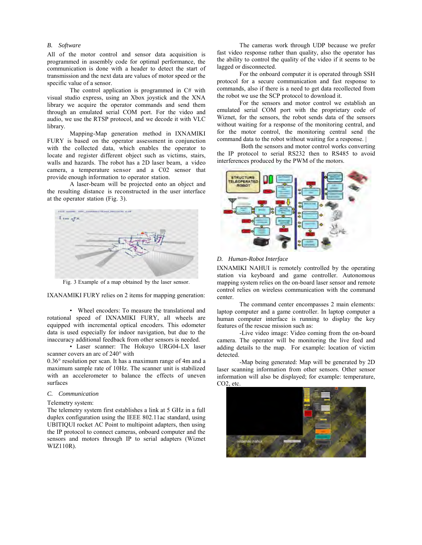## *B. Software*

All of the motor control and sensor data acquisition is programmed in assembly code for optimal performance, the communication is done with a header to detect the start of transmission and the next data are values of motor speed or the specific value of a sensor.

The control application is programmed in C# with visual studio express, using an Xbox joystick and the XNA library we acquire the operator commands and send them through an emulated serial COM port. For the video and audio, we use the RTSP protocol, and we decode it with VLC library.

Mapping-Map generation method in IXNAMIKI FURY is based on the operator assessment in conjunction with the collected data, which enables the operator to locate and register different object such as victims, stairs, walls and hazards. The robot has a 2D laser beam, a video camera, a temperature sensor and a C02 sensor that provide enough information to operator station.

A laser-beam will be projected onto an object and the resulting distance is reconstructed in the user interface at the operator station (Fig. 3).



Fig. 3 Example of a map obtained by the laser sensor.

IXANAMIKI FURY relies on 2 items for mapping generation:

• Wheel encoders: To measure the translational and rotational speed of IXNAMIKI FURY, all wheels are equipped with incremental optical encoders. This odometer data is used especially for indoor navigation, but due to the inaccuracy additional feedback from other sensors is needed.

• Laser scanner: The Hokuyo URG04-LX laser scanner covers an arc of 240° with

0.36° resolution per scan. It has a maximum range of 4m and a maximum sample rate of 10Hz. The scanner unit is stabilized with an accelerometer to balance the effects of uneven surfaces

#### *C. Communication*

#### Telemetry system:

The telemetry system first establishes a link at 5 GHz in a full duplex configuration using the IEEE 802.11ac standard, using UBITIQUI rocket AC Point to multipoint adapters, then using the IP protocol to connect cameras, onboard computer and the sensors and motors through IP to serial adapters (Wiznet WIZ110R).

The cameras work through UDP because we prefer fast video response rather than quality, also the operator has the ability to control the quality of the video if it seems to be lagged or disconnected.

For the onboard computer it is operated through SSH protocol for a secure communication and fast response to commands, also if there is a need to get data recollected from the robot we use the SCP protocol to download it.

For the sensors and motor control we establish an emulated serial COM port with the proprietary code of Wiznet, for the sensors, the robot sends data of the sensors without waiting for a response of the monitoring central, and for the motor control, the monitoring central send the command data to the robot without waiting for a response. |

Both the sensors and motor control works converting the IP protocol to serial RS232 then to RS485 to avoid interferences produced by the PWM of the motors.



#### *D. Human-Robot Interface*

IXNAMIKI NAHUI is remotely controlled by the operating station via keyboard and game controller. Autonomous mapping system relies on the on-board laser sensor and remote control relies on wireless communication with the command center.

The command center encompasses 2 main elements: laptop computer and a game controller. In laptop computer a human computer interface is running to display the key features of the rescue mission such as:

-Live video image: Video coming from the on-board camera. The operator will be monitoring the live feed and adding details to the map. For example: location of victim detected.

-Map being generated: Map will be generated by 2D laser scanning information from other sensors. Other sensor information will also be displayed; for example: temperature, CO2, etc.

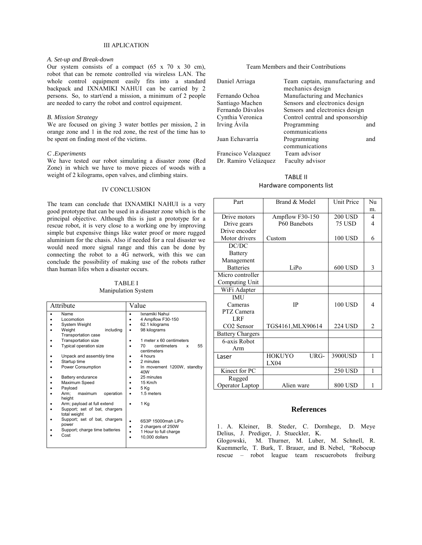## III APLICATION

## *A. Set-up and Break-down*

Our system consists of a compact  $(65 \times 70 \times 30 \text{ cm})$ , robot that can be remote controlled via wireless LAN. The whole control equipment easily fits into a standard backpack and IXNAMIKI NAHUI can be carried by 2 persons. So, to start/end a mission, a minimum of 2 people are needed to carry the robot and control equipment.

## *B. Mission Strategy*

We are focused on giving 3 water bottles per mission, 2 in orange zone and 1 in the red zone, the rest of the time has to be spent on finding most of the victims.

### *C .Experiments*

We have tested our robot simulating a disaster zone (Red Zone) in which we have to move pieces of woods with a weight of 2 kilograms, open valves, and climbing stairs.

# IV CONCLUSION

The team can conclude that IXNAMIKI NAHUI is a very good prototype that can be used in a disaster zone which is the principal objective. Although this is just a prototype for a rescue robot, it is very close to a working one by improving simple but expensive things like water proof or more rugged aluminium for the chasis. Also if needed for a real disaster we would need more signal range and this can be done by connecting the robot to a  $4\tilde{G}$  network, with this we can conclude the possibility of making use of the robots rather than human lifes when a disaster occurs.

## TABLE I Manipulation System

| Attribute                                         | Value                                       |  |
|---------------------------------------------------|---------------------------------------------|--|
| Name                                              | Ixnamiki Nahui                              |  |
| Locomotion                                        | 4 Ampflow F30-150                           |  |
| System Weight                                     | 62.1 kilograms                              |  |
| including<br>Weight<br><b>Transportation case</b> | 98 kilograms                                |  |
| <b>Transportation size</b>                        | 1 meter x 60 centimeters                    |  |
| Typical operation size                            | centimeters<br>55<br>70<br>x<br>centimeters |  |
| Unpack and assembly time                          | 4 hours                                     |  |
| Startup time                                      | 2 minutes                                   |  |
| Power Consumption                                 | In movement 1200W, standby<br>40W           |  |
| Battery endurance                                 | 25 minutes                                  |  |
| Maximum Speed                                     | 15 Km/h                                     |  |
| Payload                                           | 5 Kg                                        |  |
| Arm:<br>operation<br>maximum<br>height            | 1.5 meters                                  |  |
| Arm; payload at full extend                       | 1 Kg                                        |  |
| Support; set of bat, chargers<br>total weight     |                                             |  |
| Support; set of bat, chargers<br>power            | 6S3P 15000mah LiPo<br>2 chargers of 250W    |  |
| Support; charge time batteries<br>Cost            | 1 Hour to full charge<br>10,000 dollars     |  |

## Team Members and their Contributions

| Daniel Arriaga       | Team captain, manufacturing and |     |
|----------------------|---------------------------------|-----|
|                      | mechanics design                |     |
| Fernando Ochoa       | Manufacturing and Mechanics     |     |
| Santiago Machen      | Sensors and electronics design  |     |
| Fernando Dávalos     | Sensors and electronics design  |     |
| Cynthia Veronica     | Control central and sponsorship |     |
| Irving Ávila         | Programming                     | and |
|                      | communications                  |     |
| Juan Echavarría      | Programming                     | and |
|                      | communications                  |     |
| Francisco Velazquez  | Team advisor                    |     |
| Dr. Ramiro Velázquez | Faculty advisor                 |     |
|                      |                                 |     |

## TABLE II

## Hardware components list

| Part                    | Brand & Model         | <b>Unit Price</b> | $N_{\rm H}$    |
|-------------------------|-----------------------|-------------------|----------------|
|                         |                       |                   | m <sub>1</sub> |
| Drive motors            | Ampflow F30-150       | <b>200 USD</b>    | $\overline{4}$ |
| Drive gears             | P60 Banebots          | <b>75 USD</b>     | 4              |
| Drive encoder           |                       |                   |                |
| Motor drivers           | Custom                | <b>100 USD</b>    | 6              |
| DC/DC                   |                       |                   |                |
| <b>Battery</b>          |                       |                   |                |
| Management              |                       |                   |                |
| <b>Batteries</b>        | LiPo                  | 600 USD           | 3              |
| Micro controller        |                       |                   |                |
| Computing Unit          |                       |                   |                |
| WiFi Adapter            |                       |                   |                |
| <b>IMU</b>              |                       |                   |                |
| Cameras                 | <b>IP</b>             | 100 USD           | 4              |
| PTZ Camera              |                       |                   |                |
| LRF                     |                       |                   |                |
| CO <sub>2</sub> Sensor  | TGS4161, MLX90614     | <b>224 USD</b>    | $\overline{c}$ |
| <b>Battery Chargers</b> |                       |                   |                |
| 6-axis Robot            |                       |                   |                |
| Arm                     |                       |                   |                |
| Laser                   | <b>HOKUYO</b><br>URG- | 3900USD           | 1              |
|                         | LX04                  |                   |                |
| Kinect for PC           |                       | <b>250 USD</b>    | $\mathbf{1}$   |
| Rugged                  |                       |                   |                |
| Operator Laptop         | Alien ware            | 800 USD           | 1              |

# **References**

1 . A. Kleiner, B. Steder, C. Dornhege, D. Meye Delius, J. Prediger, J. Stueckler, K.

Glogowski, M. Thurner, M. Luber, M. Schnell, R. Kuemmerle, T. Burk, T. Brauer, and B. Nebel, "Robocup rescue – robot league team rescuerobots freiburg